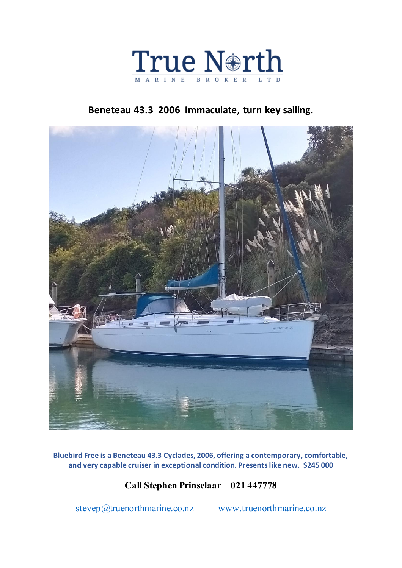

# **Beneteau 43.3 2006 Immaculate, turn key sailing.**



**Bluebird Free is a Beneteau 43.3 Cyclades, 2006, offering a contemporary, comfortable, and very capable cruiser in exceptional condition. Presents like new. \$245 000**

# **Call Stephen Prinselaar 021 447778**

[stevep@truenorthmarine.co.nz](mailto:stevep@truenorthmarine.co.nz) [www.truenorthmarine.co.nz](http://www.truenorthmarine.co.nz/)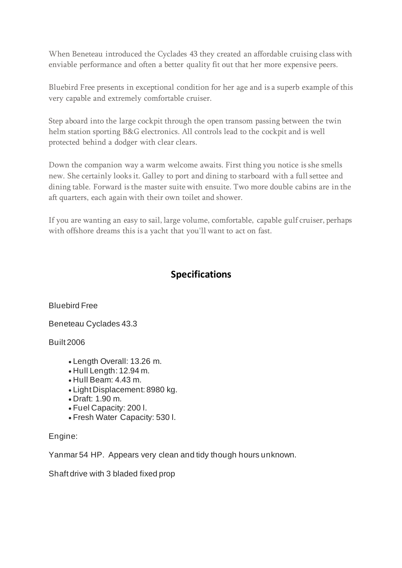When Beneteau introduced the Cyclades 43 they created an affordable cruising class with enviable performance and often a better quality fit out that her more expensive peers.

Bluebird Free presents in exceptional condition for her age and is a superb example of this very capable and extremely comfortable cruiser.

Step aboard into the large cockpit through the open transom passing between the twin helm station sporting B&G electronics. All controls lead to the cockpit and is well protected behind a dodger with clear clears.

Down the companion way a warm welcome awaits. First thing you notice is she smells new. She certainly looks it. Galley to port and dining to starboard with a full settee and dining table. Forward is the master suite with ensuite. Two more double cabins are in the aft quarters, each again with their own toilet and shower.

If you are wanting an easy to sail, large volume, comfortable, capable gulf cruiser, perhaps with offshore dreams this is a yacht that you'll want to act on fast.

## **Specifications**

Bluebird Free

Beneteau Cyclades 43.3

Built 2006

- Length Overall: 13.26 m.
- Hull Length: 12.94 m.
- Hull Beam: 4.43 m.
- Light Displacement: 8980 kg.
- Draft: 1.90 m.
- Fuel Capacity: 200 l.
- Fresh Water Capacity: 530 l.

### Engine:

Yanmar 54 HP. Appears very clean and tidy though hours unknown.

Shaft drive with 3 bladed fixed prop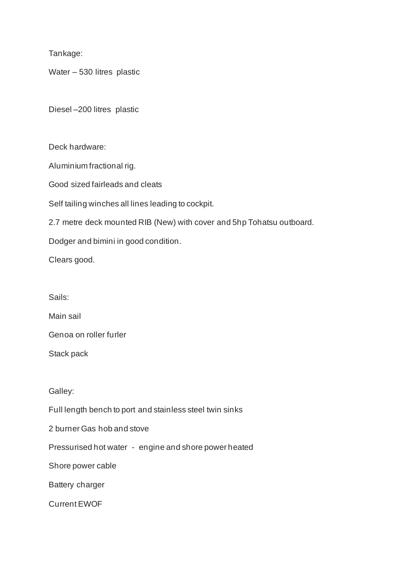Tankage:

Water – 530 litres plastic

Diesel –200 litres plastic

Deck hardware:

Aluminium fractional rig.

Good sized fairleads and cleats

Self tailing winches all lines leading to cockpit.

2.7 metre deck mounted RIB (New) with cover and 5hp Tohatsu outboard.

Dodger and bimini in good condition.

Clears good.

Sails:

Main sail

Genoa on roller furler

Stack pack

Galley:

Full length bench to port and stainless steel twin sinks

2 burner Gas hob and stove

Pressurised hot water - engine and shore power heated

Shore power cable

Battery charger

Current EWOF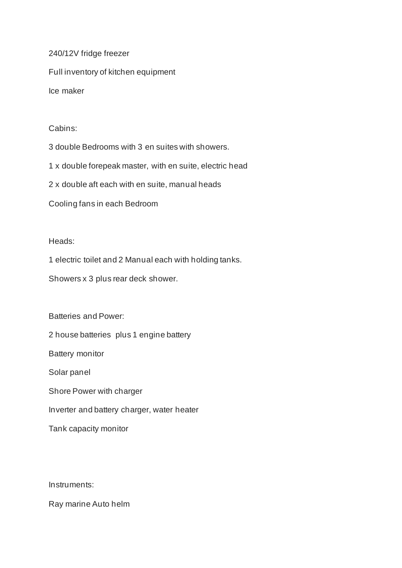240/12V fridge freezer Full inventory of kitchen equipment Ice maker

Cabins:

3 double Bedrooms with 3 en suites with showers.

1 x double forepeak master, with en suite, electric head

2 x double aft each with en suite, manual heads

Cooling fans in each Bedroom

Heads:

1 electric toilet and 2 Manual each with holding tanks.

Showers x 3 plus rear deck shower.

Batteries and Power:

2 house batteries plus 1 engine battery

Battery monitor

Solar panel

Shore Power with charger

Inverter and battery charger, water heater

Tank capacity monitor

Instruments:

Ray marine Auto helm